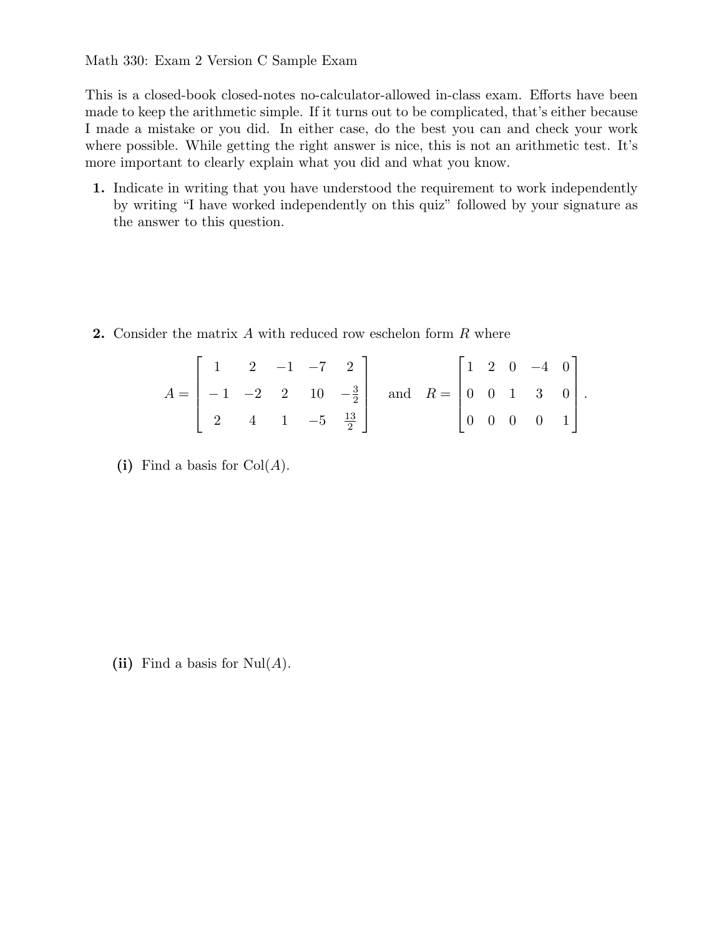This is a closed-book closed-notes no-calculator-allowed in-class exam. Efforts have been made to keep the arithmetic simple. If it turns out to be complicated, that's either because I made a mistake or you did. In either case, do the best you can and check your work where possible. While getting the right answer is nice, this is not an arithmetic test. It's more important to clearly explain what you did and what you know.

**1.** Indicate in writing that you have understood the requirement to work independently by writing "I have worked independently on this quiz" followed by your signature as the answer to this question.

**2.** Consider the matrix *A* with reduced row eschelon form *R* where

| $\begin{bmatrix} 1 & 2 & -1 & -7 & 2 \end{bmatrix}$ |  |  |                                                                                                                                 |  |  | $\begin{bmatrix} 1 & 2 & 0 & -4 & 0 \end{bmatrix}$ |  |
|-----------------------------------------------------|--|--|---------------------------------------------------------------------------------------------------------------------------------|--|--|----------------------------------------------------|--|
|                                                     |  |  | $A = \begin{pmatrix} -1 & -2 & 2 & 10 & -\frac{3}{2} \end{pmatrix}$ and $R = \begin{pmatrix} 0 & 0 & 1 & 3 & 0 \end{pmatrix}$ . |  |  |                                                    |  |
| 2 4 1 $-5 \frac{13}{2}$                             |  |  |                                                                                                                                 |  |  | $\begin{bmatrix} 0 & 0 & 0 & 0 & 1 \end{bmatrix}$  |  |

(i) Find a basis for  $Col(A)$ .

(ii) Find a basis for  $\text{Nul}(A)$ .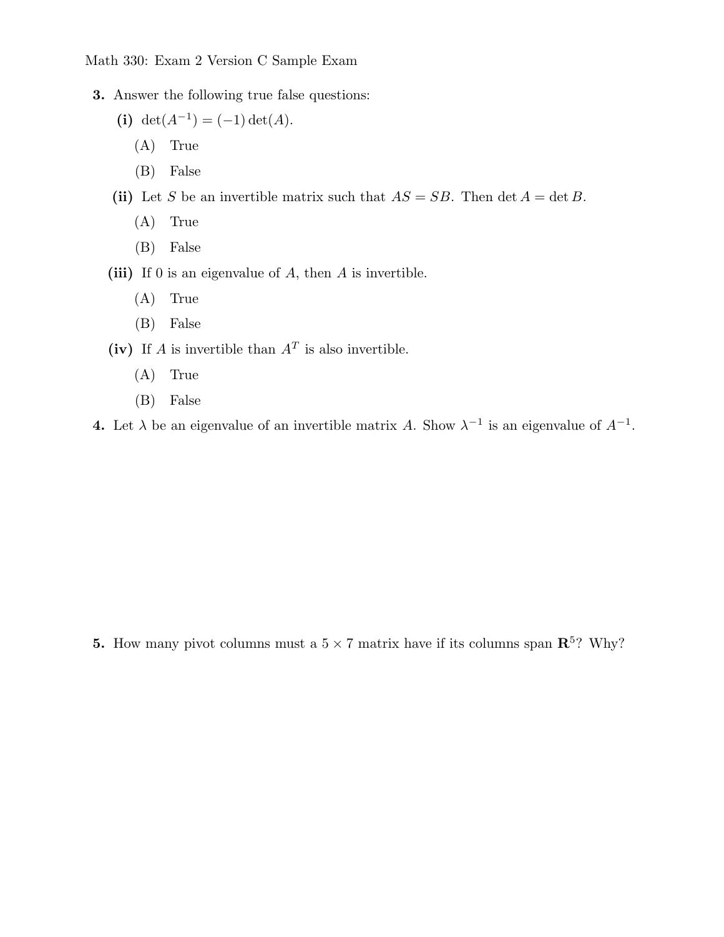- **3.** Answer the following true false questions:
	- (i) det( $A^{-1}$ ) = (-1) det( $A$ ).
		- (A) True
		- (B) False
	- (ii) Let *S* be an invertible matrix such that  $AS = SB$ . Then det  $A = \det B$ .
		- (A) True
		- (B) False
	- **(iii)** If 0 is an eigenvalue of *A*, then *A* is invertible.
		- (A) True
		- (B) False
	- **(iv)** If *A* is invertible than  $A<sup>T</sup>$  is also invertible.
		- (A) True
		- (B) False
- **4.** Let  $\lambda$  be an eigenvalue of an invertible matrix *A*. Show  $\lambda^{-1}$  is an eigenvalue of  $A^{-1}$ .

**5.** How many pivot columns must a  $5 \times 7$  matrix have if its columns span  $\mathbb{R}^5$ ? Why?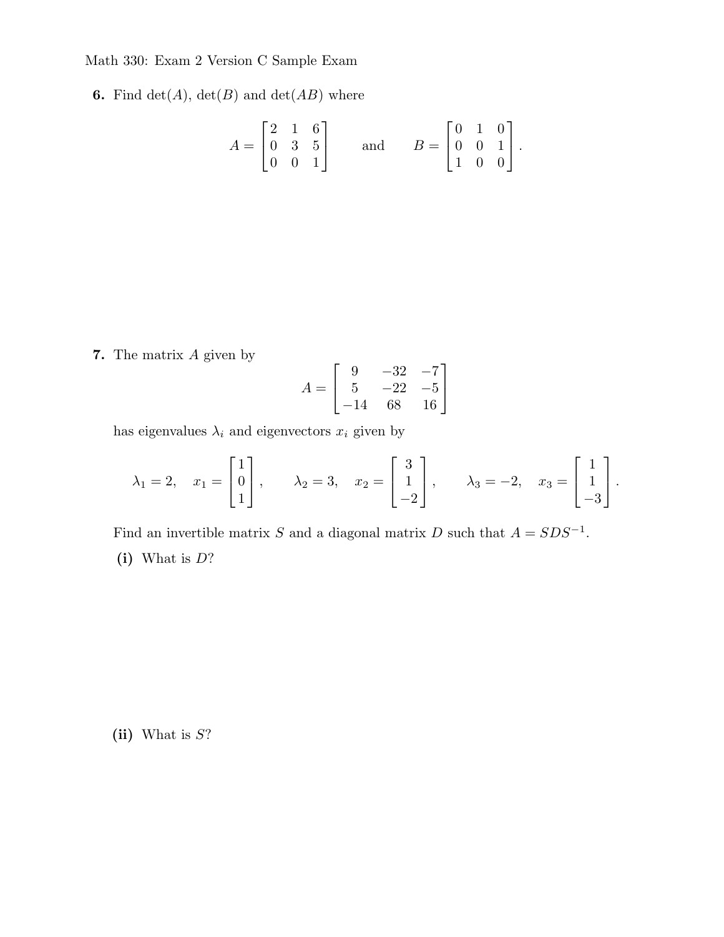**6.** Find  $det(A)$ ,  $det(B)$  and  $det(AB)$  where

$$
A = \begin{bmatrix} 2 & 1 & 6 \\ 0 & 3 & 5 \\ 0 & 0 & 1 \end{bmatrix} \quad \text{and} \quad B = \begin{bmatrix} 0 & 1 & 0 \\ 0 & 0 & 1 \\ 1 & 0 & 0 \end{bmatrix}.
$$

**7.** The matrix *A* given by

$$
A = \begin{bmatrix} 9 & -32 & -7 \\ 5 & -22 & -5 \\ -14 & 68 & 16 \end{bmatrix}
$$

has eigenvalues  $\lambda_i$  and eigenvectors  $x_i$  given by

$$
\lambda_1 = 2, \quad x_1 = \begin{bmatrix} 1 \\ 0 \\ 1 \end{bmatrix}, \qquad \lambda_2 = 3, \quad x_2 = \begin{bmatrix} 3 \\ 1 \\ -2 \end{bmatrix}, \qquad \lambda_3 = -2, \quad x_3 = \begin{bmatrix} 1 \\ 1 \\ -3 \end{bmatrix}.
$$

Find an invertible matrix *S* and a diagonal matrix *D* such that  $A = SDS^{-1}$ .

**(i)** What is *D*?

**(ii)** What is *S*?